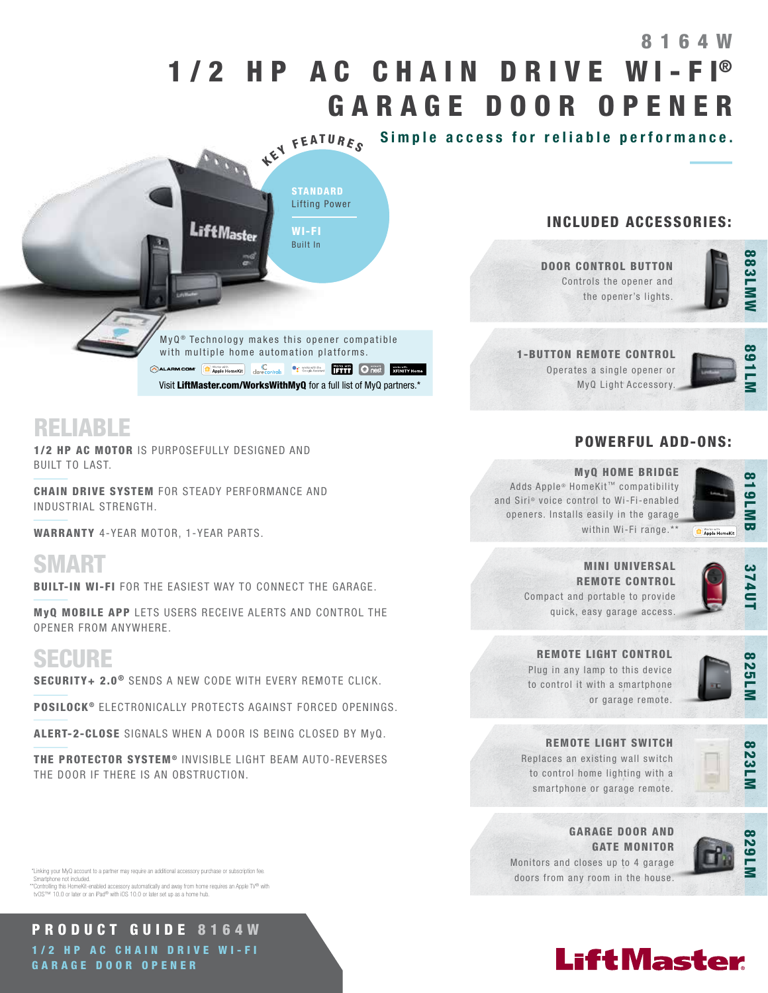# 1/2 HP AC CHAIN DRIVE WI-FI® GARAGE DOOR OPENER 8164W

KEY FEATURES Simple access for reliable performance.



Visit LiftMaster.com/WorksWithMyQ for a full list of MyQ partners.\*

**CALARM.COM CApple HomeKit** Correcontrols Cause Austine **CALARM.COM ARTICLE AFINITY Home** 

 $MyQ<sup>®</sup>$  Technology makes this opener compatible with multiple home automation platforms.

DOOR CONTROL BUTTON Controls the opener and the opener's lights.

INCLUDED ACCESSORIES:



1-BUTTON REMOTE CONTROL Operates a single opener or MyQ Light Accessory.



## POWERFUL ADD-ONS:



#### MyQ HOME BRIDGE

Adds Apple® HomeKit™ compatibility and Siri® voice control to Wi-Fi-enabled openers. Installs easily in the garage within Wi-Fi range.\*\*



MINI UNIVERSAL REMOTE CONTROL Compact and portable to provide quick, easy garage access.



Plug in any lamp to this device to control it with a smartphone



or garage remote.





REMOTE LIGHT SWITCH Replaces an existing wall switch

to control home lighting with a smartphone or garage remote.



GARAGE DOOR AND GATE MONITOR Monitors and closes up to 4 garage doors from any room in the house.





## RELIABLE

1/2 HP AC MOTOR IS PURPOSEFULLY DESIGNED AND BUILT TO LAST.

CHAIN DRIVE SYSTEM FOR STEADY PERFORMANCE AND INDUSTRIAL STRENGTH.

WARRANTY 4-YEAR MOTOR, 1-YEAR PARTS.

SMART

**BUILT-IN WI-FI** FOR THE EASIEST WAY TO CONNECT THE GARAGE.

MyQ MOBILE APP LETS USERS RECEIVE ALERTS AND CONTROL THE OPENER FROM ANYWHERE.

## SECURE

SECURITY+ 2.0<sup>®</sup> SENDS A NEW CODE WITH EVERY REMOTE CLICK.

POSILOCK<sup>®</sup> ELECTRONICALLY PROTECTS AGAINST FORCED OPENINGS.

ALERT-2-CLOSE SIGNALS WHEN A DOOR IS BEING CLOSED BY MyQ.

THE PROTECTOR SYSTEM<sup>®</sup> INVISIBLE LIGHT BEAM AUTO-REVERSES THE DOOR IF THERE IS AN OBSTRUCTION.

 \*Linking your MyQ account to a partner may require an additional accessory purchase or subscription fee. hone not included.

\*\*Controlling this HomeKit-enabled accessory automatically and away from home requires an Apple TV® with tvOS™ 10.0 or later or an iPad® with iOS 10.0 or later set up as a home hub.

PRODUCT GUIDE 8164W 1/2 HP AC CHAIN DRIVE WI-FI GARAGE DOOR OPENER